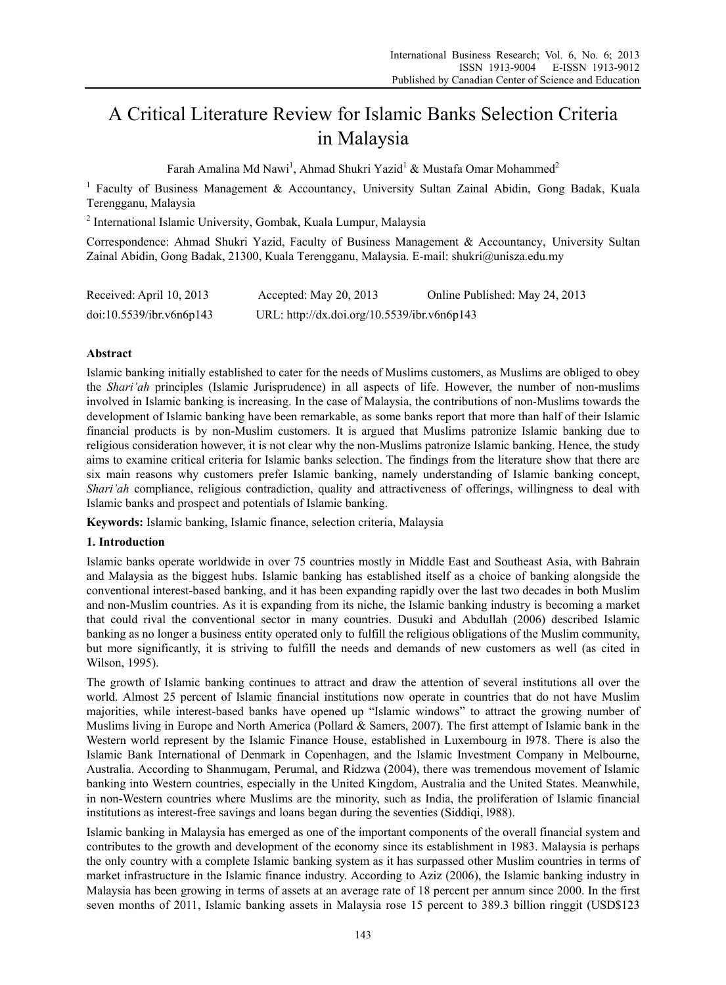# A Critical Literature Review for Islamic Banks Selection Criteria in Malaysia

Farah Amalina Md Nawi<sup>1</sup>, Ahmad Shukri Yazid<sup>1</sup> & Mustafa Omar Mohammed<sup>2</sup>

<sup>1</sup> Faculty of Business Management & Accountancy, University Sultan Zainal Abidin, Gong Badak, Kuala Terengganu, Malaysia

2 International Islamic University, Gombak, Kuala Lumpur, Malaysia

Correspondence: Ahmad Shukri Yazid, Faculty of Business Management & Accountancy, University Sultan Zainal Abidin, Gong Badak, 21300, Kuala Terengganu, Malaysia. E-mail: shukri@unisza.edu.my

| Received: April 10, 2013 | Accepted: May $20$ , $2013$                 | Online Published: May 24, 2013 |
|--------------------------|---------------------------------------------|--------------------------------|
| doi:10.5539/ibr.v6n6p143 | URL: http://dx.doi.org/10.5539/ibr.v6n6p143 |                                |

## **Abstract**

Islamic banking initially established to cater for the needs of Muslims customers, as Muslims are obliged to obey the *Shari'ah* principles (Islamic Jurisprudence) in all aspects of life. However, the number of non-muslims involved in Islamic banking is increasing. In the case of Malaysia, the contributions of non-Muslims towards the development of Islamic banking have been remarkable, as some banks report that more than half of their Islamic financial products is by non-Muslim customers. It is argued that Muslims patronize Islamic banking due to religious consideration however, it is not clear why the non-Muslims patronize Islamic banking. Hence, the study aims to examine critical criteria for Islamic banks selection. The findings from the literature show that there are six main reasons why customers prefer Islamic banking, namely understanding of Islamic banking concept, *Shari'ah* compliance, religious contradiction, quality and attractiveness of offerings, willingness to deal with Islamic banks and prospect and potentials of Islamic banking.

**Keywords:** Islamic banking, Islamic finance, selection criteria, Malaysia

#### **1. Introduction**

Islamic banks operate worldwide in over 75 countries mostly in Middle East and Southeast Asia, with Bahrain and Malaysia as the biggest hubs. Islamic banking has established itself as a choice of banking alongside the conventional interest-based banking, and it has been expanding rapidly over the last two decades in both Muslim and non-Muslim countries. As it is expanding from its niche, the Islamic banking industry is becoming a market that could rival the conventional sector in many countries. Dusuki and Abdullah (2006) described Islamic banking as no longer a business entity operated only to fulfill the religious obligations of the Muslim community, but more significantly, it is striving to fulfill the needs and demands of new customers as well (as cited in Wilson, 1995).

The growth of Islamic banking continues to attract and draw the attention of several institutions all over the world. Almost 25 percent of Islamic financial institutions now operate in countries that do not have Muslim majorities, while interest-based banks have opened up "Islamic windows" to attract the growing number of Muslims living in Europe and North America (Pollard & Samers, 2007). The first attempt of Islamic bank in the Western world represent by the Islamic Finance House, established in Luxembourg in l978. There is also the Islamic Bank International of Denmark in Copenhagen, and the Islamic Investment Company in Melbourne, Australia. According to Shanmugam, Perumal, and Ridzwa (2004), there was tremendous movement of Islamic banking into Western countries, especially in the United Kingdom, Australia and the United States. Meanwhile, in non-Western countries where Muslims are the minority, such as India, the proliferation of Islamic financial institutions as interest-free savings and loans began during the seventies (Siddiqi, l988).

Islamic banking in Malaysia has emerged as one of the important components of the overall financial system and contributes to the growth and development of the economy since its establishment in 1983. Malaysia is perhaps the only country with a complete Islamic banking system as it has surpassed other Muslim countries in terms of market infrastructure in the Islamic finance industry. According to Aziz (2006), the Islamic banking industry in Malaysia has been growing in terms of assets at an average rate of 18 percent per annum since 2000. In the first seven months of 2011, Islamic banking assets in Malaysia rose 15 percent to 389.3 billion ringgit (USD\$123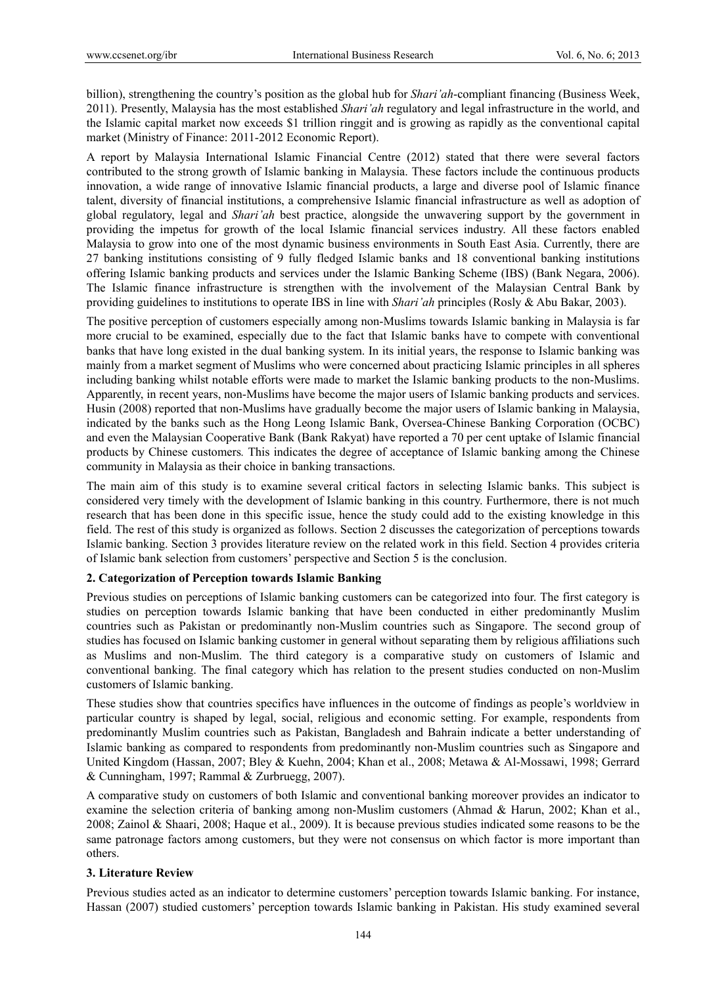billion), strengthening the country's position as the global hub for *Shari'ah*-compliant financing (Business Week, 2011). Presently, Malaysia has the most established *Shari'ah* regulatory and legal infrastructure in the world, and the Islamic capital market now exceeds \$1 trillion ringgit and is growing as rapidly as the conventional capital market (Ministry of Finance: 2011-2012 Economic Report).

A report by Malaysia International Islamic Financial Centre (2012) stated that there were several factors contributed to the strong growth of Islamic banking in Malaysia. These factors include the continuous products innovation, a wide range of innovative Islamic financial products, a large and diverse pool of Islamic finance talent, diversity of financial institutions, a comprehensive Islamic financial infrastructure as well as adoption of global regulatory, legal and *Shari'ah* best practice, alongside the unwavering support by the government in providing the impetus for growth of the local Islamic financial services industry. All these factors enabled Malaysia to grow into one of the most dynamic business environments in South East Asia. Currently, there are 27 banking institutions consisting of 9 fully fledged Islamic banks and 18 conventional banking institutions offering Islamic banking products and services under the Islamic Banking Scheme (IBS) (Bank Negara, 2006). The Islamic finance infrastructure is strengthen with the involvement of the Malaysian Central Bank by providing guidelines to institutions to operate IBS in line with *Shari'ah* principles (Rosly & Abu Bakar, 2003).

The positive perception of customers especially among non-Muslims towards Islamic banking in Malaysia is far more crucial to be examined, especially due to the fact that Islamic banks have to compete with conventional banks that have long existed in the dual banking system. In its initial years, the response to Islamic banking was mainly from a market segment of Muslims who were concerned about practicing Islamic principles in all spheres including banking whilst notable efforts were made to market the Islamic banking products to the non-Muslims. Apparently, in recent years, non-Muslims have become the major users of Islamic banking products and services. Husin (2008) reported that non-Muslims have gradually become the major users of Islamic banking in Malaysia, indicated by the banks such as the Hong Leong Islamic Bank, Oversea-Chinese Banking Corporation (OCBC) and even the Malaysian Cooperative Bank (Bank Rakyat) have reported a 70 per cent uptake of Islamic financial products by Chinese customers*.* This indicates the degree of acceptance of Islamic banking among the Chinese community in Malaysia as their choice in banking transactions.

The main aim of this study is to examine several critical factors in selecting Islamic banks. This subject is considered very timely with the development of Islamic banking in this country. Furthermore, there is not much research that has been done in this specific issue, hence the study could add to the existing knowledge in this field. The rest of this study is organized as follows. Section 2 discusses the categorization of perceptions towards Islamic banking. Section 3 provides literature review on the related work in this field. Section 4 provides criteria of Islamic bank selection from customers' perspective and Section 5 is the conclusion.

## **2. Categorization of Perception towards Islamic Banking**

Previous studies on perceptions of Islamic banking customers can be categorized into four. The first category is studies on perception towards Islamic banking that have been conducted in either predominantly Muslim countries such as Pakistan or predominantly non-Muslim countries such as Singapore. The second group of studies has focused on Islamic banking customer in general without separating them by religious affiliations such as Muslims and non-Muslim. The third category is a comparative study on customers of Islamic and conventional banking. The final category which has relation to the present studies conducted on non-Muslim customers of Islamic banking.

These studies show that countries specifics have influences in the outcome of findings as people's worldview in particular country is shaped by legal, social, religious and economic setting. For example, respondents from predominantly Muslim countries such as Pakistan, Bangladesh and Bahrain indicate a better understanding of Islamic banking as compared to respondents from predominantly non-Muslim countries such as Singapore and United Kingdom (Hassan, 2007; Bley & Kuehn, 2004; Khan et al., 2008; Metawa & Al-Mossawi, 1998; Gerrard & Cunningham, 1997; Rammal & Zurbruegg, 2007).

A comparative study on customers of both Islamic and conventional banking moreover provides an indicator to examine the selection criteria of banking among non-Muslim customers (Ahmad & Harun, 2002; Khan et al., 2008; Zainol & Shaari, 2008; Haque et al., 2009). It is because previous studies indicated some reasons to be the same patronage factors among customers, but they were not consensus on which factor is more important than others.

## **3. Literature Review**

Previous studies acted as an indicator to determine customers' perception towards Islamic banking. For instance, Hassan (2007) studied customers' perception towards Islamic banking in Pakistan. His study examined several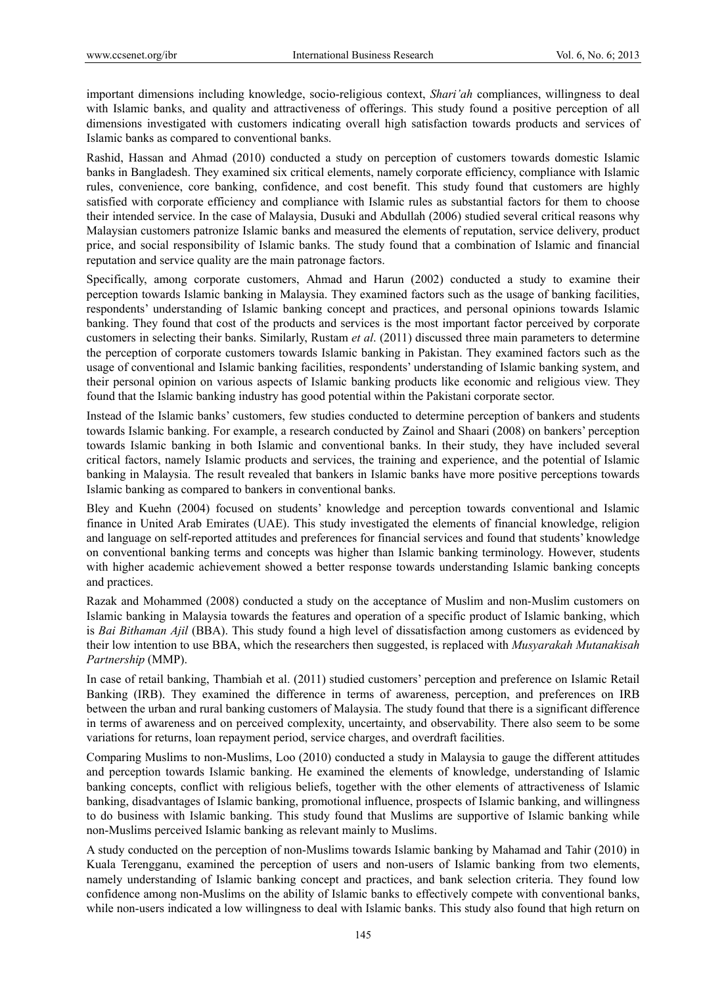important dimensions including knowledge, socio-religious context, *Shari'ah* compliances, willingness to deal with Islamic banks, and quality and attractiveness of offerings. This study found a positive perception of all dimensions investigated with customers indicating overall high satisfaction towards products and services of Islamic banks as compared to conventional banks.

Rashid, Hassan and Ahmad (2010) conducted a study on perception of customers towards domestic Islamic banks in Bangladesh. They examined six critical elements, namely corporate efficiency, compliance with Islamic rules, convenience, core banking, confidence, and cost benefit. This study found that customers are highly satisfied with corporate efficiency and compliance with Islamic rules as substantial factors for them to choose their intended service. In the case of Malaysia, Dusuki and Abdullah (2006) studied several critical reasons why Malaysian customers patronize Islamic banks and measured the elements of reputation, service delivery, product price, and social responsibility of Islamic banks. The study found that a combination of Islamic and financial reputation and service quality are the main patronage factors.

Specifically, among corporate customers, Ahmad and Harun (2002) conducted a study to examine their perception towards Islamic banking in Malaysia. They examined factors such as the usage of banking facilities, respondents' understanding of Islamic banking concept and practices, and personal opinions towards Islamic banking. They found that cost of the products and services is the most important factor perceived by corporate customers in selecting their banks. Similarly, Rustam *et al*. (2011) discussed three main parameters to determine the perception of corporate customers towards Islamic banking in Pakistan. They examined factors such as the usage of conventional and Islamic banking facilities, respondents' understanding of Islamic banking system, and their personal opinion on various aspects of Islamic banking products like economic and religious view. They found that the Islamic banking industry has good potential within the Pakistani corporate sector.

Instead of the Islamic banks' customers, few studies conducted to determine perception of bankers and students towards Islamic banking. For example, a research conducted by Zainol and Shaari (2008) on bankers' perception towards Islamic banking in both Islamic and conventional banks. In their study, they have included several critical factors, namely Islamic products and services, the training and experience, and the potential of Islamic banking in Malaysia. The result revealed that bankers in Islamic banks have more positive perceptions towards Islamic banking as compared to bankers in conventional banks.

Bley and Kuehn (2004) focused on students' knowledge and perception towards conventional and Islamic finance in United Arab Emirates (UAE). This study investigated the elements of financial knowledge, religion and language on self-reported attitudes and preferences for financial services and found that students' knowledge on conventional banking terms and concepts was higher than Islamic banking terminology. However, students with higher academic achievement showed a better response towards understanding Islamic banking concepts and practices.

Razak and Mohammed (2008) conducted a study on the acceptance of Muslim and non-Muslim customers on Islamic banking in Malaysia towards the features and operation of a specific product of Islamic banking, which is *Bai Bithaman Ajil* (BBA). This study found a high level of dissatisfaction among customers as evidenced by their low intention to use BBA, which the researchers then suggested, is replaced with *Musyarakah Mutanakisah Partnership* (MMP).

In case of retail banking, Thambiah et al. (2011) studied customers' perception and preference on Islamic Retail Banking (IRB). They examined the difference in terms of awareness, perception, and preferences on IRB between the urban and rural banking customers of Malaysia. The study found that there is a significant difference in terms of awareness and on perceived complexity, uncertainty, and observability. There also seem to be some variations for returns, loan repayment period, service charges, and overdraft facilities.

Comparing Muslims to non-Muslims, Loo (2010) conducted a study in Malaysia to gauge the different attitudes and perception towards Islamic banking. He examined the elements of knowledge, understanding of Islamic banking concepts, conflict with religious beliefs, together with the other elements of attractiveness of Islamic banking, disadvantages of Islamic banking, promotional influence, prospects of Islamic banking, and willingness to do business with Islamic banking. This study found that Muslims are supportive of Islamic banking while non-Muslims perceived Islamic banking as relevant mainly to Muslims.

A study conducted on the perception of non-Muslims towards Islamic banking by Mahamad and Tahir (2010) in Kuala Terengganu, examined the perception of users and non-users of Islamic banking from two elements, namely understanding of Islamic banking concept and practices, and bank selection criteria. They found low confidence among non-Muslims on the ability of Islamic banks to effectively compete with conventional banks, while non-users indicated a low willingness to deal with Islamic banks. This study also found that high return on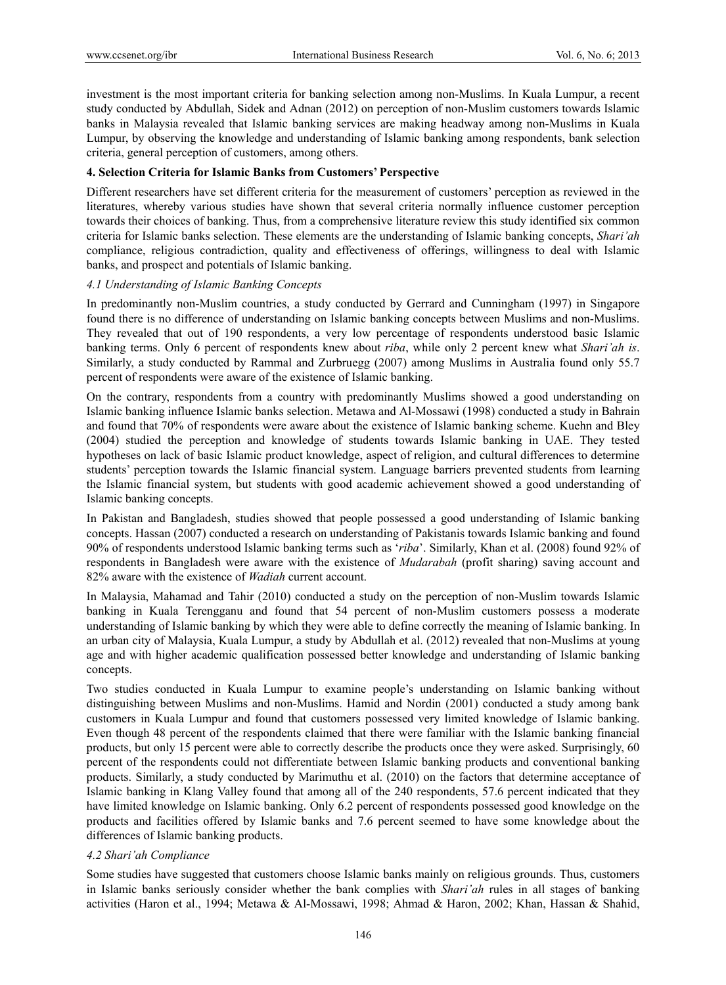investment is the most important criteria for banking selection among non-Muslims. In Kuala Lumpur, a recent study conducted by Abdullah, Sidek and Adnan (2012) on perception of non-Muslim customers towards Islamic banks in Malaysia revealed that Islamic banking services are making headway among non-Muslims in Kuala Lumpur, by observing the knowledge and understanding of Islamic banking among respondents, bank selection criteria, general perception of customers, among others.

#### **4. Selection Criteria for Islamic Banks from Customers' Perspective**

Different researchers have set different criteria for the measurement of customers' perception as reviewed in the literatures, whereby various studies have shown that several criteria normally influence customer perception towards their choices of banking. Thus, from a comprehensive literature review this study identified six common criteria for Islamic banks selection. These elements are the understanding of Islamic banking concepts, *Shari'ah* compliance, religious contradiction, quality and effectiveness of offerings, willingness to deal with Islamic banks, and prospect and potentials of Islamic banking.

#### *4.1 Understanding of Islamic Banking Concepts*

In predominantly non-Muslim countries, a study conducted by Gerrard and Cunningham (1997) in Singapore found there is no difference of understanding on Islamic banking concepts between Muslims and non-Muslims. They revealed that out of 190 respondents, a very low percentage of respondents understood basic Islamic banking terms. Only 6 percent of respondents knew about *riba*, while only 2 percent knew what *Shari'ah is*. Similarly, a study conducted by Rammal and Zurbruegg (2007) among Muslims in Australia found only 55.7 percent of respondents were aware of the existence of Islamic banking.

On the contrary, respondents from a country with predominantly Muslims showed a good understanding on Islamic banking influence Islamic banks selection. Metawa and Al-Mossawi (1998) conducted a study in Bahrain and found that 70% of respondents were aware about the existence of Islamic banking scheme. Kuehn and Bley (2004) studied the perception and knowledge of students towards Islamic banking in UAE. They tested hypotheses on lack of basic Islamic product knowledge, aspect of religion, and cultural differences to determine students' perception towards the Islamic financial system. Language barriers prevented students from learning the Islamic financial system, but students with good academic achievement showed a good understanding of Islamic banking concepts.

In Pakistan and Bangladesh, studies showed that people possessed a good understanding of Islamic banking concepts. Hassan (2007) conducted a research on understanding of Pakistanis towards Islamic banking and found 90% of respondents understood Islamic banking terms such as '*riba*'. Similarly, Khan et al. (2008) found 92% of respondents in Bangladesh were aware with the existence of *Mudarabah* (profit sharing) saving account and 82% aware with the existence of *Wadiah* current account.

In Malaysia, Mahamad and Tahir (2010) conducted a study on the perception of non-Muslim towards Islamic banking in Kuala Terengganu and found that 54 percent of non-Muslim customers possess a moderate understanding of Islamic banking by which they were able to define correctly the meaning of Islamic banking. In an urban city of Malaysia, Kuala Lumpur, a study by Abdullah et al. (2012) revealed that non-Muslims at young age and with higher academic qualification possessed better knowledge and understanding of Islamic banking concepts.

Two studies conducted in Kuala Lumpur to examine people's understanding on Islamic banking without distinguishing between Muslims and non-Muslims. Hamid and Nordin (2001) conducted a study among bank customers in Kuala Lumpur and found that customers possessed very limited knowledge of Islamic banking. Even though 48 percent of the respondents claimed that there were familiar with the Islamic banking financial products, but only 15 percent were able to correctly describe the products once they were asked. Surprisingly, 60 percent of the respondents could not differentiate between Islamic banking products and conventional banking products. Similarly, a study conducted by Marimuthu et al. (2010) on the factors that determine acceptance of Islamic banking in Klang Valley found that among all of the 240 respondents, 57.6 percent indicated that they have limited knowledge on Islamic banking. Only 6.2 percent of respondents possessed good knowledge on the products and facilities offered by Islamic banks and 7.6 percent seemed to have some knowledge about the differences of Islamic banking products.

#### *4.2 Shari'ah Compliance*

Some studies have suggested that customers choose Islamic banks mainly on religious grounds. Thus, customers in Islamic banks seriously consider whether the bank complies with *Shari'ah* rules in all stages of banking activities (Haron et al., 1994; Metawa & Al-Mossawi, 1998; Ahmad & Haron, 2002; Khan, Hassan & Shahid,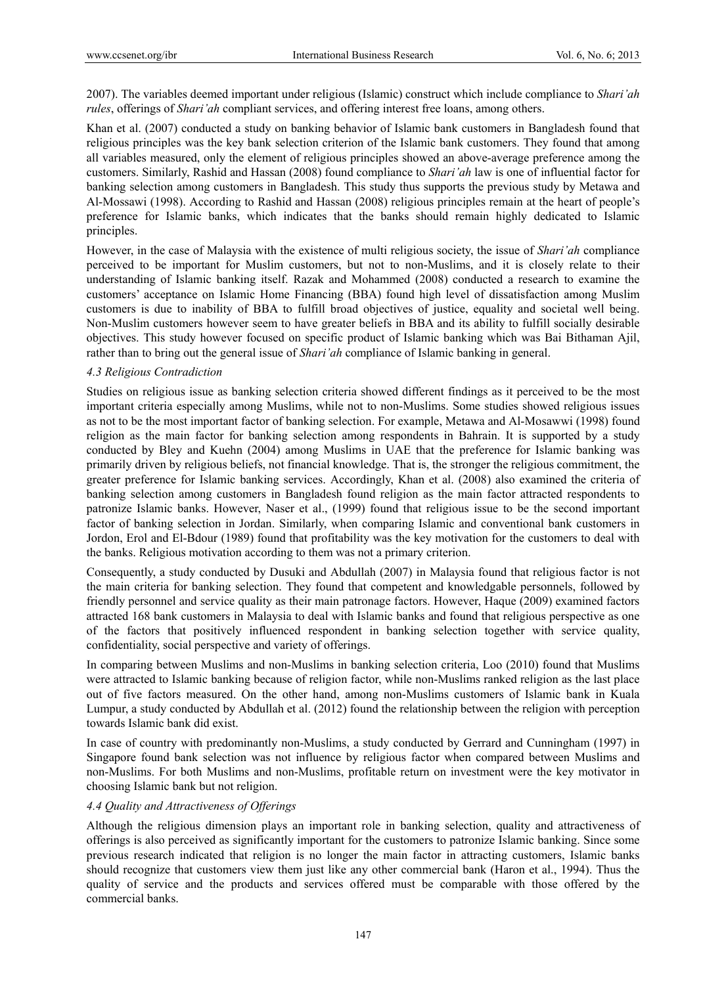2007). The variables deemed important under religious (Islamic) construct which include compliance to *Shari'ah rules*, offerings of *Shari'ah* compliant services, and offering interest free loans, among others.

Khan et al. (2007) conducted a study on banking behavior of Islamic bank customers in Bangladesh found that religious principles was the key bank selection criterion of the Islamic bank customers. They found that among all variables measured, only the element of religious principles showed an above-average preference among the customers. Similarly, Rashid and Hassan (2008) found compliance to *Shari'ah* law is one of influential factor for banking selection among customers in Bangladesh. This study thus supports the previous study by Metawa and Al-Mossawi (1998). According to Rashid and Hassan (2008) religious principles remain at the heart of people's preference for Islamic banks, which indicates that the banks should remain highly dedicated to Islamic principles.

However, in the case of Malaysia with the existence of multi religious society, the issue of *Shari'ah* compliance perceived to be important for Muslim customers, but not to non-Muslims, and it is closely relate to their understanding of Islamic banking itself. Razak and Mohammed (2008) conducted a research to examine the customers' acceptance on Islamic Home Financing (BBA) found high level of dissatisfaction among Muslim customers is due to inability of BBA to fulfill broad objectives of justice, equality and societal well being. Non-Muslim customers however seem to have greater beliefs in BBA and its ability to fulfill socially desirable objectives. This study however focused on specific product of Islamic banking which was Bai Bithaman Ajil, rather than to bring out the general issue of *Shari'ah* compliance of Islamic banking in general.

#### *4.3 Religious Contradiction*

Studies on religious issue as banking selection criteria showed different findings as it perceived to be the most important criteria especially among Muslims, while not to non-Muslims. Some studies showed religious issues as not to be the most important factor of banking selection. For example, Metawa and Al-Mosawwi (1998) found religion as the main factor for banking selection among respondents in Bahrain. It is supported by a study conducted by Bley and Kuehn (2004) among Muslims in UAE that the preference for Islamic banking was primarily driven by religious beliefs, not financial knowledge. That is, the stronger the religious commitment, the greater preference for Islamic banking services. Accordingly, Khan et al. (2008) also examined the criteria of banking selection among customers in Bangladesh found religion as the main factor attracted respondents to patronize Islamic banks. However, Naser et al., (1999) found that religious issue to be the second important factor of banking selection in Jordan. Similarly, when comparing Islamic and conventional bank customers in Jordon, Erol and El-Bdour (1989) found that profitability was the key motivation for the customers to deal with the banks. Religious motivation according to them was not a primary criterion.

Consequently, a study conducted by Dusuki and Abdullah (2007) in Malaysia found that religious factor is not the main criteria for banking selection. They found that competent and knowledgable personnels, followed by friendly personnel and service quality as their main patronage factors. However, Haque (2009) examined factors attracted 168 bank customers in Malaysia to deal with Islamic banks and found that religious perspective as one of the factors that positively influenced respondent in banking selection together with service quality, confidentiality, social perspective and variety of offerings.

In comparing between Muslims and non-Muslims in banking selection criteria, Loo (2010) found that Muslims were attracted to Islamic banking because of religion factor, while non-Muslims ranked religion as the last place out of five factors measured. On the other hand, among non-Muslims customers of Islamic bank in Kuala Lumpur, a study conducted by Abdullah et al. (2012) found the relationship between the religion with perception towards Islamic bank did exist.

In case of country with predominantly non-Muslims, a study conducted by Gerrard and Cunningham (1997) in Singapore found bank selection was not influence by religious factor when compared between Muslims and non-Muslims. For both Muslims and non-Muslims, profitable return on investment were the key motivator in choosing Islamic bank but not religion.

#### *4.4 Quality and Attractiveness of Offerings*

Although the religious dimension plays an important role in banking selection, quality and attractiveness of offerings is also perceived as significantly important for the customers to patronize Islamic banking. Since some previous research indicated that religion is no longer the main factor in attracting customers, Islamic banks should recognize that customers view them just like any other commercial bank (Haron et al., 1994). Thus the quality of service and the products and services offered must be comparable with those offered by the commercial banks.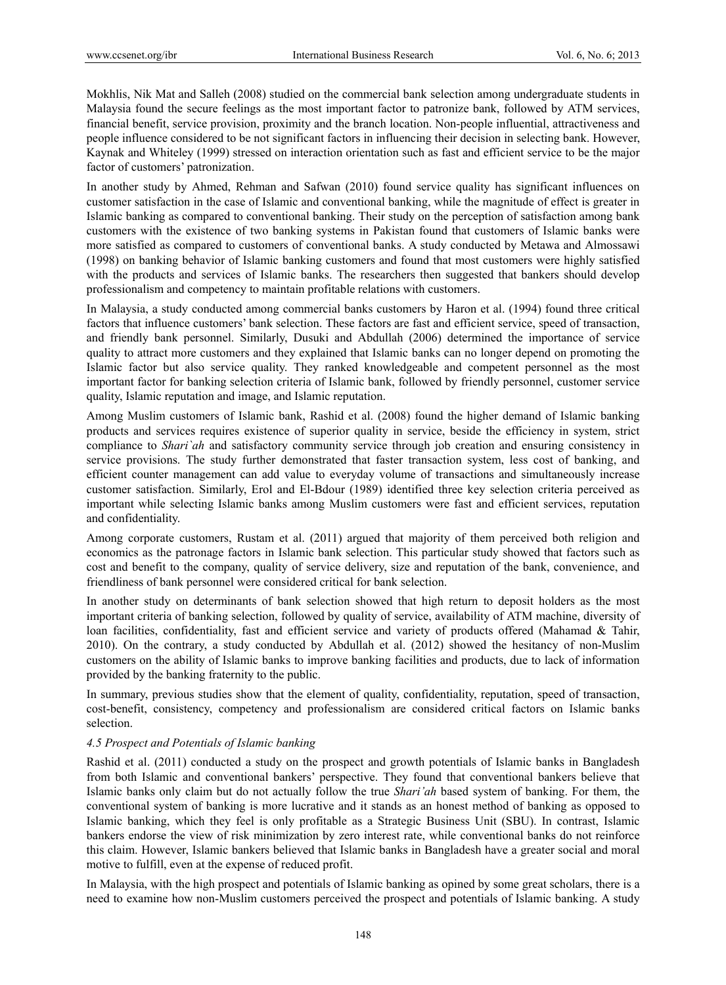Mokhlis, Nik Mat and Salleh (2008) studied on the commercial bank selection among undergraduate students in Malaysia found the secure feelings as the most important factor to patronize bank, followed by ATM services, financial benefit, service provision, proximity and the branch location. Non-people influential, attractiveness and people influence considered to be not significant factors in influencing their decision in selecting bank. However, Kaynak and Whiteley (1999) stressed on interaction orientation such as fast and efficient service to be the major factor of customers' patronization.

In another study by Ahmed, Rehman and Safwan (2010) found service quality has significant influences on customer satisfaction in the case of Islamic and conventional banking, while the magnitude of effect is greater in Islamic banking as compared to conventional banking. Their study on the perception of satisfaction among bank customers with the existence of two banking systems in Pakistan found that customers of Islamic banks were more satisfied as compared to customers of conventional banks. A study conducted by Metawa and Almossawi (1998) on banking behavior of Islamic banking customers and found that most customers were highly satisfied with the products and services of Islamic banks. The researchers then suggested that bankers should develop professionalism and competency to maintain profitable relations with customers.

In Malaysia, a study conducted among commercial banks customers by Haron et al. (1994) found three critical factors that influence customers' bank selection. These factors are fast and efficient service, speed of transaction, and friendly bank personnel. Similarly, Dusuki and Abdullah (2006) determined the importance of service quality to attract more customers and they explained that Islamic banks can no longer depend on promoting the Islamic factor but also service quality. They ranked knowledgeable and competent personnel as the most important factor for banking selection criteria of Islamic bank, followed by friendly personnel, customer service quality, Islamic reputation and image, and Islamic reputation.

Among Muslim customers of Islamic bank, Rashid et al. (2008) found the higher demand of Islamic banking products and services requires existence of superior quality in service, beside the efficiency in system, strict compliance to *Shari`ah* and satisfactory community service through job creation and ensuring consistency in service provisions. The study further demonstrated that faster transaction system, less cost of banking, and efficient counter management can add value to everyday volume of transactions and simultaneously increase customer satisfaction. Similarly, Erol and El-Bdour (1989) identified three key selection criteria perceived as important while selecting Islamic banks among Muslim customers were fast and efficient services, reputation and confidentiality.

Among corporate customers, Rustam et al. (2011) argued that majority of them perceived both religion and economics as the patronage factors in Islamic bank selection. This particular study showed that factors such as cost and benefit to the company, quality of service delivery, size and reputation of the bank, convenience, and friendliness of bank personnel were considered critical for bank selection.

In another study on determinants of bank selection showed that high return to deposit holders as the most important criteria of banking selection, followed by quality of service, availability of ATM machine, diversity of loan facilities, confidentiality, fast and efficient service and variety of products offered (Mahamad & Tahir, 2010). On the contrary, a study conducted by Abdullah et al. (2012) showed the hesitancy of non-Muslim customers on the ability of Islamic banks to improve banking facilities and products, due to lack of information provided by the banking fraternity to the public.

In summary, previous studies show that the element of quality, confidentiality, reputation, speed of transaction, cost-benefit, consistency, competency and professionalism are considered critical factors on Islamic banks selection.

## *4.5 Prospect and Potentials of Islamic banking*

Rashid et al. (2011) conducted a study on the prospect and growth potentials of Islamic banks in Bangladesh from both Islamic and conventional bankers' perspective. They found that conventional bankers believe that Islamic banks only claim but do not actually follow the true *Shari'ah* based system of banking. For them, the conventional system of banking is more lucrative and it stands as an honest method of banking as opposed to Islamic banking, which they feel is only profitable as a Strategic Business Unit (SBU). In contrast, Islamic bankers endorse the view of risk minimization by zero interest rate, while conventional banks do not reinforce this claim. However, Islamic bankers believed that Islamic banks in Bangladesh have a greater social and moral motive to fulfill, even at the expense of reduced profit.

In Malaysia, with the high prospect and potentials of Islamic banking as opined by some great scholars, there is a need to examine how non-Muslim customers perceived the prospect and potentials of Islamic banking. A study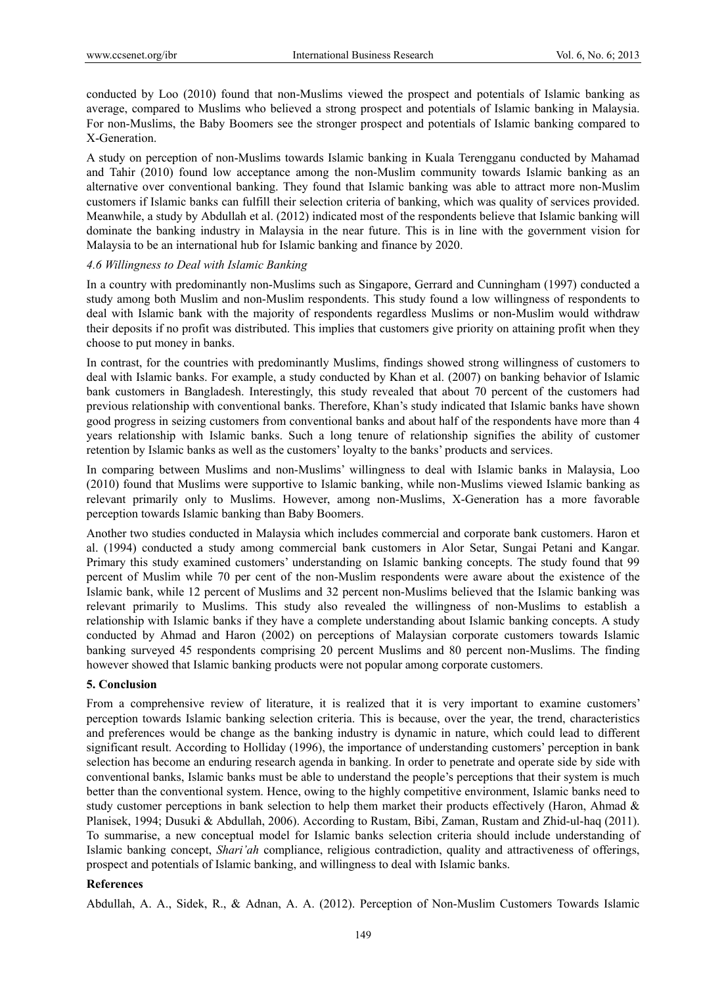conducted by Loo (2010) found that non-Muslims viewed the prospect and potentials of Islamic banking as average, compared to Muslims who believed a strong prospect and potentials of Islamic banking in Malaysia. For non-Muslims, the Baby Boomers see the stronger prospect and potentials of Islamic banking compared to X-Generation.

A study on perception of non-Muslims towards Islamic banking in Kuala Terengganu conducted by Mahamad and Tahir (2010) found low acceptance among the non-Muslim community towards Islamic banking as an alternative over conventional banking. They found that Islamic banking was able to attract more non-Muslim customers if Islamic banks can fulfill their selection criteria of banking, which was quality of services provided. Meanwhile, a study by Abdullah et al. (2012) indicated most of the respondents believe that Islamic banking will dominate the banking industry in Malaysia in the near future. This is in line with the government vision for Malaysia to be an international hub for Islamic banking and finance by 2020.

#### *4.6 Willingness to Deal with Islamic Banking*

In a country with predominantly non-Muslims such as Singapore, Gerrard and Cunningham (1997) conducted a study among both Muslim and non-Muslim respondents. This study found a low willingness of respondents to deal with Islamic bank with the majority of respondents regardless Muslims or non-Muslim would withdraw their deposits if no profit was distributed. This implies that customers give priority on attaining profit when they choose to put money in banks.

In contrast, for the countries with predominantly Muslims, findings showed strong willingness of customers to deal with Islamic banks. For example, a study conducted by Khan et al. (2007) on banking behavior of Islamic bank customers in Bangladesh. Interestingly, this study revealed that about 70 percent of the customers had previous relationship with conventional banks. Therefore, Khan's study indicated that Islamic banks have shown good progress in seizing customers from conventional banks and about half of the respondents have more than 4 years relationship with Islamic banks. Such a long tenure of relationship signifies the ability of customer retention by Islamic banks as well as the customers' loyalty to the banks' products and services.

In comparing between Muslims and non-Muslims' willingness to deal with Islamic banks in Malaysia, Loo (2010) found that Muslims were supportive to Islamic banking, while non-Muslims viewed Islamic banking as relevant primarily only to Muslims. However, among non-Muslims, X-Generation has a more favorable perception towards Islamic banking than Baby Boomers.

Another two studies conducted in Malaysia which includes commercial and corporate bank customers. Haron et al. (1994) conducted a study among commercial bank customers in Alor Setar, Sungai Petani and Kangar. Primary this study examined customers' understanding on Islamic banking concepts. The study found that 99 percent of Muslim while 70 per cent of the non-Muslim respondents were aware about the existence of the Islamic bank, while 12 percent of Muslims and 32 percent non-Muslims believed that the Islamic banking was relevant primarily to Muslims. This study also revealed the willingness of non-Muslims to establish a relationship with Islamic banks if they have a complete understanding about Islamic banking concepts. A study conducted by Ahmad and Haron (2002) on perceptions of Malaysian corporate customers towards Islamic banking surveyed 45 respondents comprising 20 percent Muslims and 80 percent non-Muslims. The finding however showed that Islamic banking products were not popular among corporate customers.

#### **5. Conclusion**

From a comprehensive review of literature, it is realized that it is very important to examine customers' perception towards Islamic banking selection criteria. This is because, over the year, the trend, characteristics and preferences would be change as the banking industry is dynamic in nature, which could lead to different significant result. According to Holliday (1996), the importance of understanding customers' perception in bank selection has become an enduring research agenda in banking. In order to penetrate and operate side by side with conventional banks, Islamic banks must be able to understand the people's perceptions that their system is much better than the conventional system. Hence, owing to the highly competitive environment, Islamic banks need to study customer perceptions in bank selection to help them market their products effectively (Haron, Ahmad & Planisek, 1994; Dusuki & Abdullah, 2006). According to Rustam, Bibi, Zaman, Rustam and Zhid-ul-haq (2011). To summarise, a new conceptual model for Islamic banks selection criteria should include understanding of Islamic banking concept, *Shari'ah* compliance, religious contradiction, quality and attractiveness of offerings, prospect and potentials of Islamic banking, and willingness to deal with Islamic banks.

## **References**

Abdullah, A. A., Sidek, R., & Adnan, A. A. (2012). Perception of Non-Muslim Customers Towards Islamic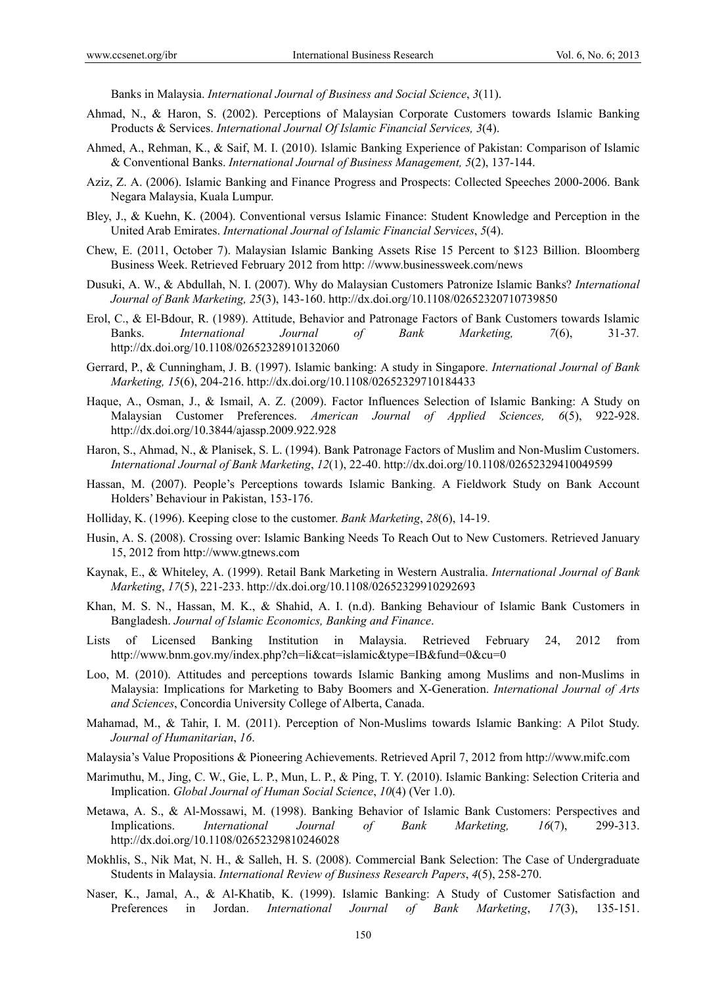Banks in Malaysia. *International Journal of Business and Social Science*, *3*(11).

- Ahmad, N., & Haron, S. (2002). Perceptions of Malaysian Corporate Customers towards Islamic Banking Products & Services. *International Journal Of Islamic Financial Services, 3*(4).
- Ahmed, A., Rehman, K., & Saif, M. I. (2010). Islamic Banking Experience of Pakistan: Comparison of Islamic & Conventional Banks. *International Journal of Business Management, 5*(2), 137-144.
- Aziz, Z. A. (2006). Islamic Banking and Finance Progress and Prospects: Collected Speeches 2000-2006. Bank Negara Malaysia, Kuala Lumpur.
- Bley, J., & Kuehn, K. (2004). Conventional versus Islamic Finance: Student Knowledge and Perception in the United Arab Emirates. *International Journal of Islamic Financial Services*, *5*(4).
- Chew, E. (2011, October 7). Malaysian Islamic Banking Assets Rise 15 Percent to \$123 Billion. Bloomberg Business Week. Retrieved February 2012 from http: //www.businessweek.com/news
- Dusuki, A. W., & Abdullah, N. I. (2007). Why do Malaysian Customers Patronize Islamic Banks? *International Journal of Bank Marketing, 25*(3), 143-160. http://dx.doi.org/10.1108/02652320710739850
- Erol, C., & El-Bdour, R. (1989). Attitude, Behavior and Patronage Factors of Bank Customers towards Islamic Banks. *International Journal of Bank Marketing, 7*(6), 31-37*.*  http://dx.doi.org/10.1108/02652328910132060
- Gerrard, P., & Cunningham, J. B. (1997). Islamic banking: A study in Singapore. *International Journal of Bank Marketing, 15*(6), 204-216. http://dx.doi.org/10.1108/02652329710184433
- Haque, A., Osman, J., & Ismail, A. Z. (2009). Factor Influences Selection of Islamic Banking: A Study on Malaysian Customer Preferences. *American Journal of Applied Sciences, 6*(5), 922-928. http://dx.doi.org/10.3844/ajassp.2009.922.928
- Haron, S., Ahmad, N., & Planisek, S. L. (1994). Bank Patronage Factors of Muslim and Non-Muslim Customers. *International Journal of Bank Marketing*, *12*(1), 22-40. http://dx.doi.org/10.1108/02652329410049599
- Hassan, M. (2007). People's Perceptions towards Islamic Banking. A Fieldwork Study on Bank Account Holders' Behaviour in Pakistan, 153-176.
- Holliday, K. (1996). Keeping close to the customer. *Bank Marketing*, *28*(6), 14-19.
- Husin, A. S. (2008). Crossing over: Islamic Banking Needs To Reach Out to New Customers. Retrieved January 15, 2012 from http://www.gtnews.com
- Kaynak, E., & Whiteley, A. (1999). Retail Bank Marketing in Western Australia. *International Journal of Bank Marketing*, *17*(5), 221-233. http://dx.doi.org/10.1108/02652329910292693
- Khan, M. S. N., Hassan, M. K., & Shahid, A. I. (n.d). Banking Behaviour of Islamic Bank Customers in Bangladesh. *Journal of Islamic Economics, Banking and Finance*.
- Lists of Licensed Banking Institution in Malaysia. Retrieved February 24, 2012 from http://www.bnm.gov.my/index.php?ch=li&cat=islamic&type=IB&fund=0&cu=0
- Loo, M. (2010). Attitudes and perceptions towards Islamic Banking among Muslims and non-Muslims in Malaysia: Implications for Marketing to Baby Boomers and X-Generation. *International Journal of Arts and Sciences*, Concordia University College of Alberta, Canada.
- Mahamad, M., & Tahir, I. M. (2011). Perception of Non-Muslims towards Islamic Banking: A Pilot Study. *Journal of Humanitarian*, *16*.
- Malaysia's Value Propositions & Pioneering Achievements. Retrieved April 7, 2012 from http://www.mifc.com
- Marimuthu, M., Jing, C. W., Gie, L. P., Mun, L. P., & Ping, T. Y. (2010). Islamic Banking: Selection Criteria and Implication. *Global Journal of Human Social Science*, *10*(4) (Ver 1.0).
- Metawa, A. S., & Al-Mossawi, M. (1998). Banking Behavior of Islamic Bank Customers: Perspectives and Implications. *International Journal of Bank Marketing, 16*(7), 299-313. http://dx.doi.org/10.1108/02652329810246028
- Mokhlis, S., Nik Mat, N. H., & Salleh, H. S. (2008). Commercial Bank Selection: The Case of Undergraduate Students in Malaysia. *International Review of Business Research Papers*, *4*(5), 258-270.
- Naser, K., Jamal, A., & Al-Khatib, K. (1999). Islamic Banking: A Study of Customer Satisfaction and Preferences in Jordan. *International Journal of Bank Marketing*, *17*(3), 135-151.